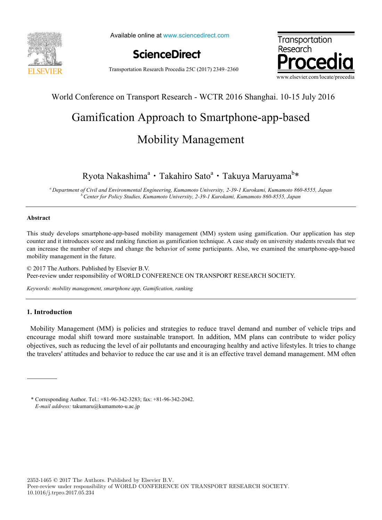

Available online at www.sciencedirect.com





Transportation Research Procedia 25C (2017) 2349–2360

#### $W_{\ell}$  11.0  $\ell$  on Transport Research - WCTR 2016 Shanghai. 10-15 July 2016 World Conference on Transport Research - WCTR 2016 Shanghai. 10-15 July 2016

### Gamification Approach to Smartphone-app-based Mobility Management Gamification Approach to Smartphone-app-based Mobility Management

# Ryota Nakashima<sup>a</sup> • Takahiro Sato<sup>a</sup> • Takuya Maruyama<sup>b</sup>\*

*<sup>a</sup> Department of Civil and Environmental Engineering, Kumamoto University, 2-39-1 Kurokami, Kumamoto 860-8555, Japan* <sup>a</sup> Department of Civil and Environmental Engineering, Kumamoto University, 2-39-1 Kurokami, Kumamoto 860-8555, Japan *<sup>b</sup> Center for Policy Studies, Kumamoto University, 2-39-1 Kurokami, Kumamoto 860-8555, Japan*

#### **Abstract**

This study develops smartphone-app-based mobility management (MM) system using gamification. Our application has step counter and it introduces score and ranking function as gamification technique. A case study on university students reveals that we can increase the number of steps and change the behavior of some participants. Also, we examined the smartphone-app-based mobility management in the future.

© 2017 The Authors. Published by Elsevier B.V. © 2017 The Authors. Published by Elsevier B.V. Peer-review under responsibility of WORLD CONFERENCE ON TRANSPORT RESEARCH SOCIETY. Peer-review under responsibility of WORLD CONFERENCE ON TRANSPORT RESEARCH SOCIETY. © 2017 The Authors. Published by Elsevier B.V. Peer-review under responsibility of WORLD CONFERENCE ON TRANSPORT RESEARCH SOCIETY.

*Keywords: mobility management, smartphone app, Gamification, ranking*

#### **1. Introduction**

Mobility Management (MM) is policies and strategies to reduce travel demand and number of vehicle trips and encourage modal shift toward more sustainable transport. In addition, MM plans can contribute to wider policy objectives, such as reducing the level of air pollutants and encouraging healthy and active lifestyles. It tries to change the travelers' attitudes and behavior to reduce the car use and it is an effective travel demand management. MM often the travelers' attitudes and behavior to reduce the car use and it is an effective travel demand management. MM often

<sup>\*</sup> Corresponding Author. Tel.: +81-96-342-3283; fax: +81-96-342-2042. *E-mail address: t*akumaru@kumamoto-u.ac.jp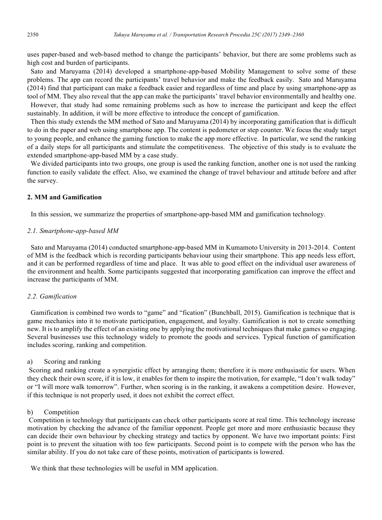uses paper-based and web-based method to change the participants' behavior, but there are some problems such as high cost and burden of participants.

Sato and Maruyama (2014) developed a smartphone-app-based Mobility Management to solve some of these problems. The app can record the participants' travel behavior and make the feedback easily. Sato and Maruyama (2014) find that participant can make a feedback easier and regardless of time and place by using smartphone-app as tool of MM. They also reveal that the app can make the participants' travel behavior environmentally and healthy one. However, that study had some remaining problems such as how to increase the participant and keep the effect sustainably. In addition, it will be more effective to introduce the concept of gamification.

Then this study extends the MM method of Sato and Maruyama (2014) by incorporating gamification that is difficult to do in the paper and web using smartphone app. The content is pedometer or step counter. We focus the study target to young people, and enhance the gaming function to make the app more effective. In particular, we send the ranking of a daily steps for all participants and stimulate the competitiveness. The objective of this study is to evaluate the extended smartphone-app-based MM by a case study.

We divided participants into two groups, one group is used the ranking function, another one is not used the ranking function to easily validate the effect. Also, we examined the change of travel behaviour and attitude before and after the survey.

#### **2. MM and Gamification**

In this session, we summarize the properties of smartphone-app-based MM and gamification technology.

#### *2.1. Smartphone-app-based MM*

Sato and Maruyama (2014) conducted smartphone-app-based MM in Kumamoto University in 2013-2014. Content of MM is the feedback which is recording participants behaviour using their smartphone. This app needs less effort, and it can be performed regardless of time and place. It was able to good effect on the individual user awareness of the environment and health. Some participants suggested that incorporating gamification can improve the effect and increase the participants of MM.

#### *2.2. Gamification*

Gamification is combined two words to "game" and "fication" (Bunchball, 2015). Gamification is technique that is game mechanics into it to motivate participation, engagement, and loyalty. Gamification is not to create something new. It is to amplify the effect of an existing one by applying the motivational techniques that make games so engaging. Several businesses use this technology widely to promote the goods and services. Typical function of gamification includes scoring, ranking and competition.

#### a) Scoring and ranking

Scoring and ranking create a synergistic effect by arranging them; therefore it is more enthusiastic for users. When they check their own score, if it is low, it enables for them to inspire the motivation, for example, "I don't walk today" or "I will more walk tomorrow". Further, when scoring is in the ranking, it awakens a competition desire. However, if this technique is not properly used, it does not exhibit the correct effect.

#### b) Competition

Competition is technology that participants can check other participants score at real time. This technology increase motivation by checking the advance of the familiar opponent. People get more and more enthusiastic because they can decide their own behaviour by checking strategy and tactics by opponent. We have two important points: First point is to prevent the situation with too few participants. Second point is to compete with the person who has the similar ability. If you do not take care of these points, motivation of participants is lowered.

We think that these technologies will be useful in MM application.